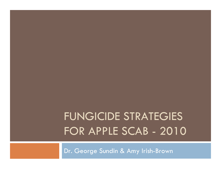# FUNGICIDE STRATEGIES FOR APPLE SCAB - 2010

Dr. George Sundin & Amy Irish-Brown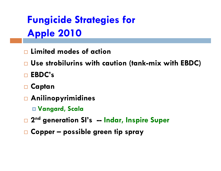**Fungicide Strategies for Apple 2010** 

- $\Box$  Limited modes of action
- $\Box$  Use strobilurins with caution (tank-mix with EBDC)
- □ EBDC's
- □ Captan
- Anilinopyrimidines
	- □ Vangard, Scala
- □ 2<sup>nd</sup> generation SI's -- Indar, Inspire Super
- $\Box$  Copper possible green tip spray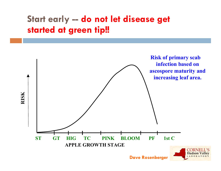# Start early -- do not let disease get started at green tip!!

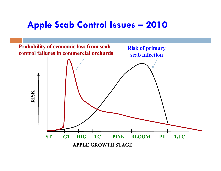### Apple Scab Control Issues – <sup>2010</sup>

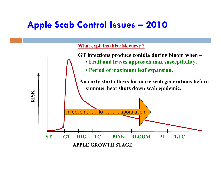### Apple Scab Control Issues – <sup>2010</sup>

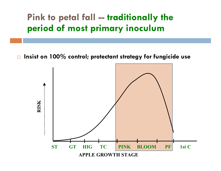## Pink to petal fall -- traditionally the period of most primary inoculum

 $\Box$ Insist on 100% control; protectant strategy for fungicide use

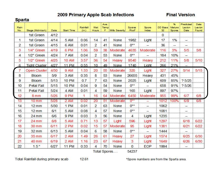#### 2009 Primary Apple Scab Infections

#### **Final Version**

#### **Sparta**

| Rain<br>No.    | Stage (McIntosh)     | Date | Start Time   | Rainfall<br>(in.) | Wet<br>Hours   | Ave:<br>Temp:<br>F | Mills Severity | Spores<br>/Rod <sup>*</sup> | Spore<br>Index | DD Base<br>32 | 96<br>Mature<br>Spores | Predicted<br>Lesion<br>Date | Date<br>Les ion<br>Found |
|----------------|----------------------|------|--------------|-------------------|----------------|--------------------|----------------|-----------------------------|----------------|---------------|------------------------|-----------------------------|--------------------------|
|                | 1st Green            | 4/12 |              |                   |                |                    |                |                             |                | $\mathbf{0}$  |                        |                             |                          |
| 1.             | 1st Green            | 4/14 | 5 AM         | 0.06              | 14             | 41                 | None           | 1982                        | Light          | 17            | 1%                     |                             |                          |
| 2              | 1st Green            | 4/15 | 6 AM         | 0.01              | 2              | 41                 | None           | $0**$                       |                | 36            |                        |                             |                          |
| 3              | 1/4" Green           | 4/19 | 6 PM         | 1.06              | 59             | 38                 | Moderate       | 4635                        | Moderate       | 116           | 3%                     | 5/5                         | 5/8                      |
| $\overline{4}$ | 1/2" Green           | 4/24 | 7 AM         | 0.04              | $\overline{2}$ | 53                 | None           | $0**$                       |                | 184           | 10%                    | $\overline{\phantom{0}}$    |                          |
| 5              | 1/2" Green           | 4/25 | <b>10 AM</b> | 3.57              | 36             | 54                 | Heavy          | 9540                        | Heavy          | 212           | 11%                    | 5/8                         | 5/10                     |
| 6              | <b>Tight Cluster</b> | 4/27 | <b>11 PM</b> | 0.55              | 10             | 49                 | None           | 1740                        | Light          | 266           | 21%                    |                             |                          |
| 7              | Open Cluster         | 4/30 | 9 AM         | 1.33              | 20             | 55                 | Moderate       | 320                         | Light          | 327           | 27%                    | 5/14                        | 5/15                     |
| 8              | <b>Bloom</b>         | 5/9  | 3 AM         | 0.35              | 8              | 53                 | None           | 26655                       | Heavy          | 431           | 45%                    |                             |                          |
| 9              | <b>Bloom</b>         | 5/13 | <b>10 PM</b> | 0.7               | 7              | 63                 | None           | 2025                        | Light          | 609           | 85%                    | ?5/25                       |                          |
| 10             | Petal Fall           | 5/15 | <b>10 PM</b> | 0.04              | 9              | 54                 | None           | $0**$                       |                | 658           | 91%                    | ?5/26                       |                          |
| 11             | Petal Fall           | 5/24 | 4 AM         | 0.01              | 4              | 59                 | None           | 165                         | Light          | 897           | 97%                    |                             |                          |
| 12             | 8 mm                 | 5/26 | 9 PM         | 1                 | 16             |                    | 64 Moderate    | 6450                        | Moderate       | 955           | 99%                    | 6/7                         | 6/8                      |
| 13             | 10 <sub>mm</sub>     | 5/28 | 2 AM         | 0.02              | 20             | 51                 | Moderate       | $0**$                       |                | 1012          | 100%                   | 6/9                         | 6/8                      |
| 14             | $12 \, \text{mm}$    | 5/30 | 1 PM         | 0.01              | $\overline{c}$ | 63                 | None           | $0**$                       |                | 1062          |                        |                             |                          |
| 15             | $12 \text{ mm}$      | 6/1  | 5 AM         | 0.08              | $\overline{4}$ | 57                 | None           | $0**$                       |                | 1081          |                        |                             |                          |
| 16             | $24$ mm              | 6/6  | 9 PM         | 0.03              | 3              | 56                 | None           | $\overline{4}$              | Light          | 1235          |                        |                             |                          |
| 17             | $24$ mm              | 6/8  | 5 AM         | 0.71              | 13             | 57                 | Light          | 596                         | Light          | 1297          |                        | 6/18                        | 6/22                     |
| 18             | 30 mm                | 6/11 | 2 PM         | 0.02              | 15             | 57                 | Moderate       | 95                          | Light          | 1381          |                        | 6/21                        | 6/22                     |
| 19             | 32 <sub>mm</sub>     | 6/13 | 5 AM         | 0.04              | 6              | 58                 | None           | $0**$                       |                | 1444          |                        |                             |                          |
| 20             | 35 <sub>mm</sub>     | 6/17 | 2 AM         | 1.49              | 26             | 61                 | Heaw           | 27                          | Light          | 1574          |                        | 6/25                        | 6/30                     |
| 21             | 40 mm                | 6/19 | 2 AM         | 1.16              | 23             | 67                 | Heavy          | 3                           | Light          | 1649          |                        | 6/26                        | 6/30                     |
| 22             | 1.5"                 | 6/27 | <b>11 PM</b> | 0.33              | 4              | 70                 | None           | 0                           | EOP            | 1994          |                        |                             |                          |

Total Spores....

54237

Total Rainfall during primary scab

\*Spore numbers are from the Sparta area.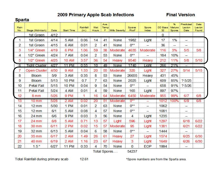#### 2009 Primary Apple Scab Infections

#### **Final Version**

#### **Sparta**

| Rain<br>No.    | Stage (McIntosh)     | Date | <b>Start Time</b> | Rainfall<br>(in.) | Wet<br>Hours   | Ave:<br>Temp:<br>F | Mills Severity: | Spores<br>/Rod" | Spore<br>Index | DD Base   Mature<br>32 | 96<br>Spores | Predicted<br>Lesion<br>Date | Date<br>Les ion<br>Found |  |
|----------------|----------------------|------|-------------------|-------------------|----------------|--------------------|-----------------|-----------------|----------------|------------------------|--------------|-----------------------------|--------------------------|--|
|                | 1st Green            | 4/12 |                   |                   |                |                    |                 |                 |                | $\mathbf{0}$           |              |                             |                          |  |
| $\mathbf{1}$   | 1st Green            | 4/14 | 5 AM              | 0.06              | 14             | 41                 | None            | 1982            | Light          | 17                     | 1%           |                             |                          |  |
| 2              | 1st Green            | 4/15 | 6 AM              | 0.01              | 2              | 41                 | None            | $0**$           |                | 36                     |              |                             |                          |  |
| 3              | 1/4" Green           | 4/19 | 6 PM              | 1.06              | 59             | 38                 | Moderate        | 4635            | Moderate       | 116                    | 3%           | 5/5                         | 5/8                      |  |
| $\overline{4}$ | 1/2" Green           | 4/24 | 7 AM              | 0.04              | 2              | 53                 | None            | $0**$           |                | 184                    | 10%          | $\overline{\phantom{0}}$    |                          |  |
| 5              | 1/2" Green           | 4/25 | 10 AM             | 3.57              | 36             | 54                 | Heaw            | 9540            | Heavy          | 212                    | 11%          | 5/8                         | 5/10                     |  |
| 6              | <b>Tight Cluster</b> | 4/27 | <b>11 PM</b>      | 0.55              | 10             | 49                 | None            | 1740            | Light          | 266                    | 21%          |                             |                          |  |
| 7              | Open Cluster         | 4/30 | 9 AM              | 1.33              | 20             | 55                 | Moderate        | 320             | Light          | 327                    | 27%          | 5/14                        | 5/15                     |  |
| 8              | <b>Bloom</b>         | 5/9  | 3 AM              | 0.35              | 8              | 53                 | None            | 26655           | Heavy          | 431                    | 45%          |                             |                          |  |
| 9              | <b>Bloom</b>         | 5/13 | <b>10 PM</b>      | 0.7               | 7              | 63                 | None            | 2025            | Light          | 609                    | 85%          | ?5/25                       |                          |  |
| 10             | Petal Fall           | 5/15 | <b>10 PM</b>      | 0.04              | 9              | 54                 | None            | $0**$           |                | 658                    | 91%          | ? 5/26                      |                          |  |
| 11             | Petal Fall           | 5/24 | 4 AM              | 0.01              | 4              | 59                 | None            | 165             | Light          | 897                    | 97%          |                             |                          |  |
| 12             | 8 mm                 | 5/26 | 9 PM              | 1                 | 16             |                    | 64 Moderate     | 6450            | Moderate       | 955                    | 99%          | 6/7                         | 6/8                      |  |
| 13             | 10 <sub>mm</sub>     | 5/28 | 2 AM              | 0.02              | 20             | 51                 | Moderate        | $0**$           |                | 1012                   | 100%         | 6/9                         | 6/8                      |  |
| 14             | $12 \text{ mm}$      | 5/30 | 1 PM              | 0.01              | $\overline{2}$ | 63                 | None            | $0**$           |                | 1062                   |              |                             |                          |  |
| 15             | $12 \text{ mm}$      | 6/1  | 5 AM              | 0.08              | $\overline{4}$ | 57                 | None            | $0**$           |                | 1081                   |              |                             |                          |  |
| 16             | $24$ mm              | 6/6  | 9 PM              | 0.03              | 3              | 56                 | None            | $\overline{4}$  | Light          | 1235                   |              |                             |                          |  |
| 17             | 24 mm                | 6/8  | 5 AM              | 0.71              | 13             | 57                 | Light           | 596             | Light          | 1297                   |              | 6/18                        | 6/22                     |  |
| 18             | 30 mm                | 6/11 | 2 PM              | 0.02              | 15             | 57                 | Moderate        | 95              | Light          | 1381                   |              | 6/21                        | 6/22                     |  |
| 19             | $32$ mm              | 6/13 | 5 AM              | 0.04              | 6              | 58                 | None            | $0**$           |                | 1444                   |              |                             |                          |  |
| 20             | $35 \,\mathrm{mm}$   | 6/17 | 2 AM              | 1.49              | 26             | 61                 | Heaw            | 27              | Light          | 1574                   |              | 6/25                        | 6/30                     |  |
| 21             | 40 mm                | 6/19 | 2 AM              | 1.16              | 23             | 67                 | Heavy           | 3               | Light          | 1649                   |              | 6/26                        | 6/30                     |  |
| 22             | 1.5"                 | 6/27 | <b>11 PM</b>      | 0.33              | 4              | 70                 | None            | $\mathbf{0}$    | <b>EOP</b>     | 1994                   |              |                             |                          |  |

Total Spores....

54237

Total Rainfall during primary scab

\*Spore numbers are from the Sparta area.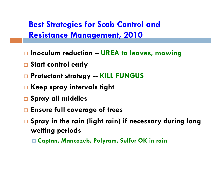Best Strategies for Scab Control and Resistance Management, 2010

- $\Box$  Inoculum reduction UREA to leaves, mowing
- <mark>□</mark> Start control early
- □ Protectant strategy -- KILL FUNGUS
- $\overline{\phantom{a}}$  Keep spray intervals tight
- <mark>□ Spray all middle</mark>s
- $\Box$  Ensure full coverage of trees
- $\overline{\Box}$  Spray in the rain (light rain) if necessary during long wetting periods
	- Captan, Mancozeb, Polyram, Sulfur OK in rain